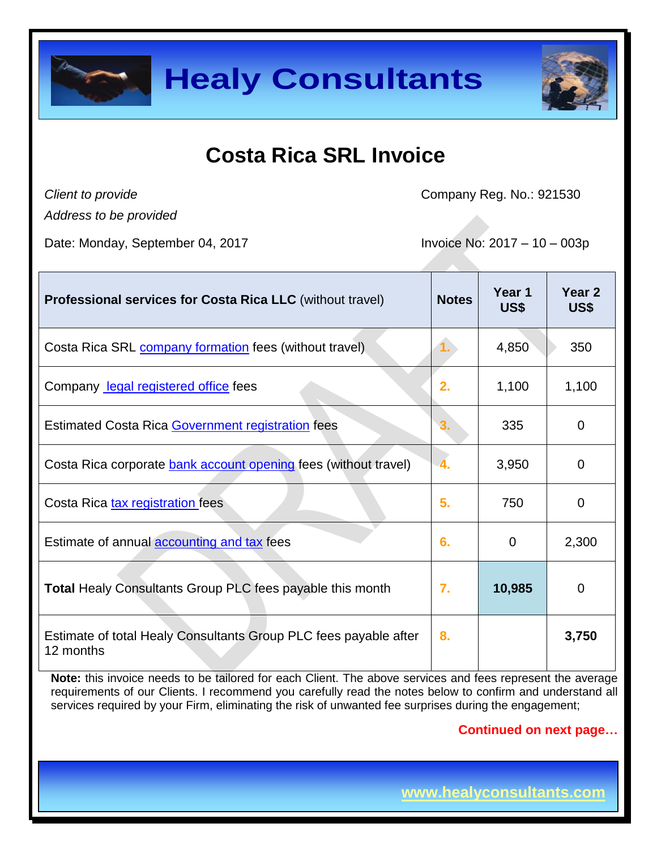



## **Costa Rica SRL Invoice**

*Client to provide*

Company Reg. No.: 921530

*Address to be provided*

Date: Monday, September 04, 2017 **Invoice No: 2017 – 10 – 003p** 

| <b>Professional services for Costa Rica LLC (without travel)</b>              | <b>Notes</b> | Year 1<br>US\$ | Year <sub>2</sub><br>US\$ |
|-------------------------------------------------------------------------------|--------------|----------------|---------------------------|
| Costa Rica SRL company formation fees (without travel)                        |              | 4,850          | 350                       |
| Company legal registered office fees                                          | 2.           | 1,100          | 1,100                     |
| Estimated Costa Rica Government registration fees                             | 3.           | 335            | 0                         |
| Costa Rica corporate bank account opening fees (without travel)               |              | 3,950          | 0                         |
| Costa Rica tax registration fees                                              | 5.           | 750            | 0                         |
| Estimate of annual accounting and tax fees                                    | 6.           | $\overline{0}$ | 2,300                     |
| <b>Total Healy Consultants Group PLC fees payable this month</b>              | 7.           | 10,985         | 0                         |
| Estimate of total Healy Consultants Group PLC fees payable after<br>12 months | 8.           |                | 3,750                     |

**Note:** this invoice needs to be tailored for each Client. The above services and fees represent the average requirements of our Clients. I recommend you carefully read the notes below to confirm and understand all services required by your Firm, eliminating the risk of unwanted fee surprises during the engagement;

**Continued on next page…**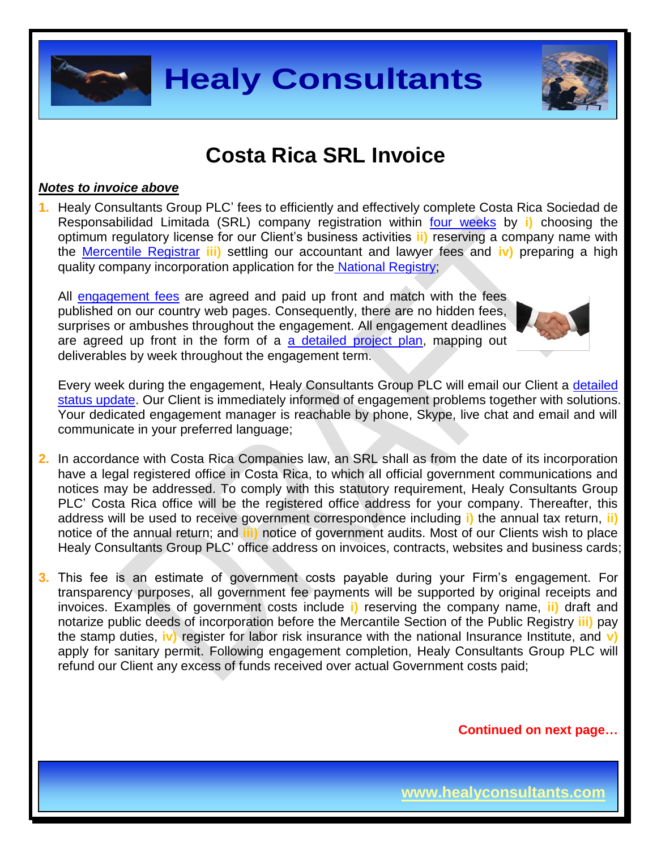

## **Costa Rica SRL Invoice**

#### *Notes to invoice above*

**1.** Healy Consultants Group PLC' fees to efficiently and effectively complete Costa Rica Sociedad de Responsabilidad Limitada (SRL) company registration within [four weeks](http://www.healyconsultants.com/costa-rica-company-registration/fees-timelines/#timelines) by **i)** choosing the optimum regulatory license for our Client's business activities **ii)** reserving a company name with the [Mercentile Registrar](http://www.crearempresa.go.cr/) **iii)** settling our accountant and lawyer fees and **iv)** preparing a high quality company incorporation application for the [National Registry;](http://www.registronacional.go.cr/)

All [engagement fees](http://www.healyconsultants.com/company-registration-fees/) are agreed and paid up front and match with the fees published on our country web pages. Consequently, there are no hidden fees, surprises or ambushes throughout the engagement. All engagement deadlines are agreed up front in the form of a [a detailed project plan,](http://www.healyconsultants.com/index-important-links/example-project-plan/) mapping out deliverables by week throughout the engagement term.



Every week during the engagement, Healy Consultants Group PLC will email our Client a detailed [status update.](http://www.healyconsultants.com/index-important-links/weekly-engagement-status-email/) Our Client is immediately informed of engagement problems together with solutions. Your dedicated engagement manager is reachable by phone, Skype, live chat and email and will communicate in your preferred language;

- **2.** In accordance with Costa Rica Companies law, an SRL shall as from the date of its incorporation have a legal registered office in Costa Rica, to which all official government communications and notices may be addressed. To comply with this statutory requirement, Healy Consultants Group PLC' Costa Rica office will be the registered office address for your company. Thereafter, this address will be used to receive government correspondence including **i)** the annual tax return, **ii)** notice of the annual return; and **iii)** notice of government audits. Most of our Clients wish to place Healy Consultants Group PLC' office address on invoices, contracts, websites and business cards;
- **3.** This fee is an estimate of government costs payable during your Firm's engagement. For transparency purposes, all government fee payments will be supported by original receipts and invoices. Examples of government costs include **i)** reserving the company name, **ii)** draft and notarize public deeds of incorporation before the Mercantile Section of the Public Registry **iii)** pay the stamp duties, **iv)** register for labor risk insurance with the national Insurance Institute, and **v)**  apply for sanitary permit. Following engagement completion, Healy Consultants Group PLC will refund our Client any excess of funds received over actual Government costs paid;

**Continued on next page…**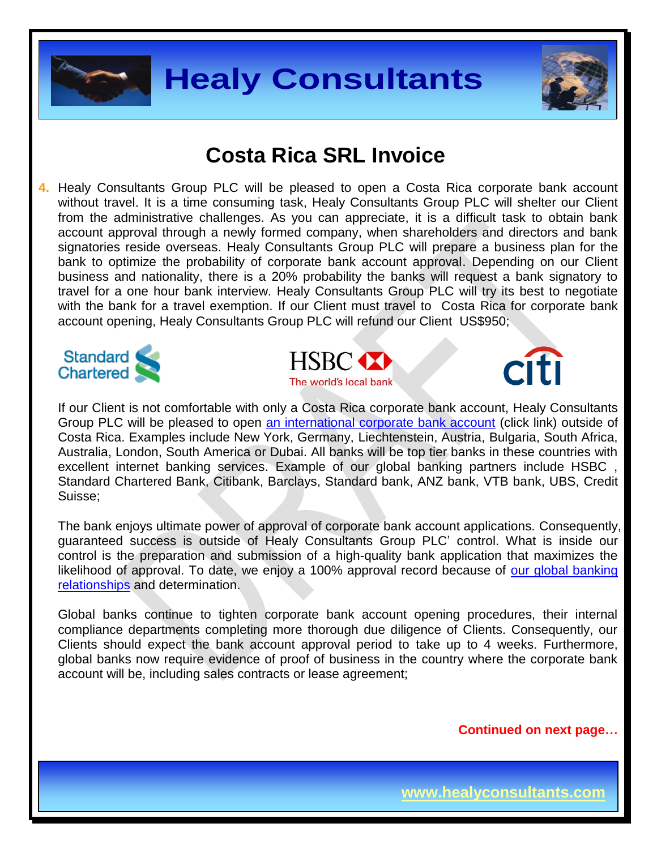



#### **Costa Rica SRL Invoice**

**4.** Healy Consultants Group PLC will be pleased to open a Costa Rica corporate bank account without travel. It is a time consuming task, Healy Consultants Group PLC will shelter our Client from the administrative challenges. As you can appreciate, it is a difficult task to obtain bank account approval through a newly formed company, when shareholders and directors and bank signatories reside overseas. Healy Consultants Group PLC will prepare a business plan for the bank to optimize the probability of corporate bank account approval. Depending on our Client business and nationality, there is a 20% probability the banks will request a bank signatory to travel for a one hour bank interview. Healy Consultants Group PLC will try its best to negotiate with the bank for a travel exemption. If our Client must travel to Costa Rica for corporate bank account opening, Healy Consultants Group PLC will refund our Client US\$950;







If our Client is not comfortable with only a Costa Rica corporate bank account, Healy Consultants Group PLC will be pleased to open [an international corporate bank account](http://www.healyconsultants.com/international-banking/) (click link) outside of Costa Rica. Examples include New York, Germany, Liechtenstein, Austria, Bulgaria, South Africa, Australia, London, South America or Dubai. All banks will be top tier banks in these countries with excellent internet banking services. Example of our global banking partners include HSBC Standard Chartered Bank, Citibank, Barclays, Standard bank, ANZ bank, VTB bank, UBS, Credit Suisse;

The bank enjoys ultimate power of approval of corporate bank account applications. Consequently, guaranteed success is outside of Healy Consultants Group PLC' control. What is inside our control is the preparation and submission of a high-quality bank application that maximizes the likelihood of approval. To date, we enjoy a 100% approval record because of our global banking [relationships](http://www.healyconsultants.com/international-banking/corporate-accounts/) and determination.

Global banks continue to tighten corporate bank account opening procedures, their internal compliance departments completing more thorough due diligence of Clients. Consequently, our Clients should expect the bank account approval period to take up to 4 weeks. Furthermore, global banks now require evidence of proof of business in the country where the corporate bank account will be, including sales contracts or lease agreement;

**Continued on next page…**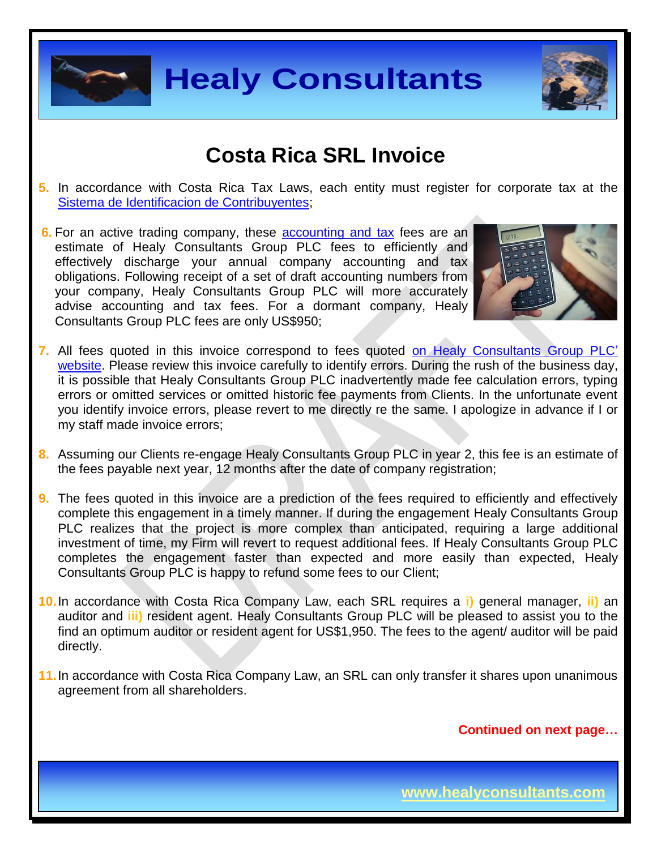



### **Costa Rica SRL Invoice**

- **5.** In accordance with Costa Rica Tax Laws, each entity must register for corporate tax at the [Sistema de Identificacion de Contribuyentes;](http://dgt.hacienda.go.cr/oficina/herramientas/Paginas/SistemadeIdentificaciondeContribuyentes(SIC).aspx)
- **6.** For an active trading company, these [accounting and tax](http://www.healyconsultants.com/costa-rica-company-registration/accounting-legal/) fees are an estimate of Healy Consultants Group PLC fees to efficiently and effectively discharge your annual company accounting and tax obligations. Following receipt of a set of draft accounting numbers from your company, Healy Consultants Group PLC will more accurately advise accounting and tax fees. For a dormant company, Healy Consultants Group PLC fees are only US\$950;



- **7.** All fees quoted in this invoice correspond to fees quoted [on Healy Consultants Group PLC'](http://www.healyconsultants.com/company-registration-fees/)  [website.](http://www.healyconsultants.com/company-registration-fees/) Please review this invoice carefully to identify errors. During the rush of the business day, it is possible that Healy Consultants Group PLC inadvertently made fee calculation errors, typing errors or omitted services or omitted historic fee payments from Clients. In the unfortunate event you identify invoice errors, please revert to me directly re the same. I apologize in advance if I or my staff made invoice errors;
- **8.** Assuming our Clients re-engage Healy Consultants Group PLC in year 2, this fee is an estimate of the fees payable next year, 12 months after the date of company registration;
- **9.** The fees quoted in this invoice are a prediction of the fees required to efficiently and effectively complete this engagement in a timely manner. If during the engagement Healy Consultants Group PLC realizes that the project is more complex than anticipated, requiring a large additional investment of time, my Firm will revert to request additional fees. If Healy Consultants Group PLC completes the engagement faster than expected and more easily than expected, Healy Consultants Group PLC is happy to refund some fees to our Client;
- **10.**In accordance with Costa Rica Company Law, each SRL requires a **i)** general manager, **ii)** an auditor and **iii)** resident agent. Healy Consultants Group PLC will be pleased to assist you to the find an optimum auditor or resident agent for US\$1,950. The fees to the agent/ auditor will be paid directly.
- **11.**In accordance with Costa Rica Company Law, an SRL can only transfer it shares upon unanimous agreement from all shareholders.

**Continued on next page…**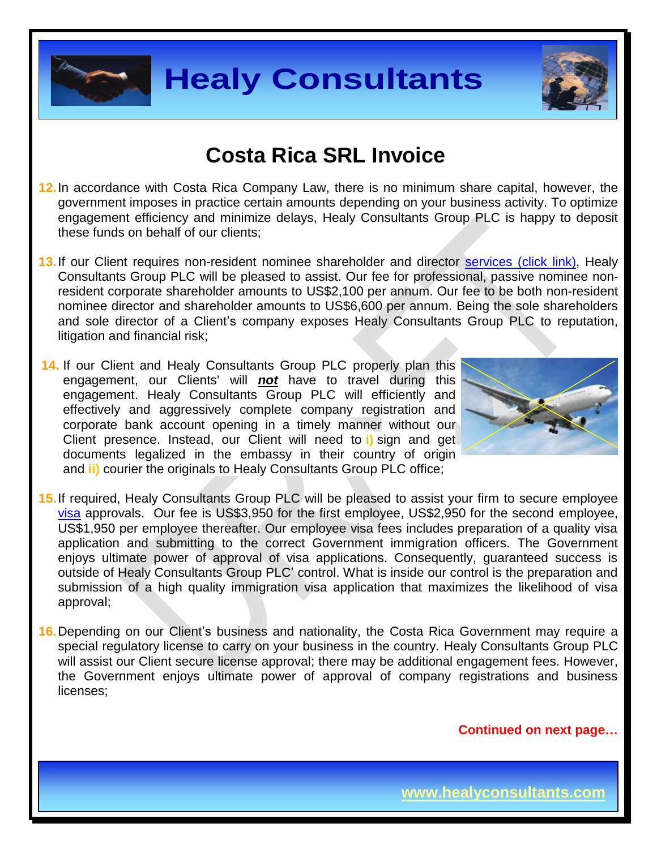



### **Costa Rica SRL Invoice**

- **12.**In accordance with Costa Rica Company Law, there is no minimum share capital, however, the government imposes in practice certain amounts depending on your business activity. To optimize engagement efficiency and minimize delays, Healy Consultants Group PLC is happy to deposit these funds on behalf of our clients;
- **13.**If our Client requires non-resident nominee shareholder and director services [\(click link\),](http://www.healyconsultants.com/corporate-outsourcing-services/nominee-shareholders-directors/) Healy Consultants Group PLC will be pleased to assist. Our fee for professional, passive nominee nonresident corporate shareholder amounts to US\$2,100 per annum. Our fee to be both non-resident nominee director and shareholder amounts to US\$6,600 per annum. Being the sole shareholders and sole director of a Client's company exposes Healy Consultants Group PLC to reputation, litigation and financial risk;
- **14.** If our Client and Healy Consultants Group PLC properly plan this engagement, our Clients' will *not* have to travel during this engagement. Healy Consultants Group PLC will efficiently and effectively and aggressively complete company registration and corporate bank account opening in a timely manner without our Client presence. Instead, our Client will need to **i)** sign and get documents legalized in the embassy in their country of origin and **ii)** courier the originals to Healy Consultants Group PLC office;



- **15.**If required, Healy Consultants Group PLC will be pleased to assist your firm to secure employee [visa](http://www.healyconsultants.com/corporate-advisory-services/migration/) approvals. Our fee is US\$3,950 for the first employee, US\$2,950 for the second employee, US\$1,950 per employee thereafter. Our employee visa fees includes preparation of a quality visa application and submitting to the correct Government immigration officers. The Government enjoys ultimate power of approval of visa applications. Consequently, guaranteed success is outside of Healy Consultants Group PLC' control. What is inside our control is the preparation and submission of a high quality immigration visa application that maximizes the likelihood of visa approval;
- **16.**Depending on our Client's business and nationality, the Costa Rica Government may require a special regulatory license to carry on your business in the country. Healy Consultants Group PLC will assist our Client secure license approval; there may be additional engagement fees. However, the Government enjoys ultimate power of approval of company registrations and business licenses;

**Continued on next page…**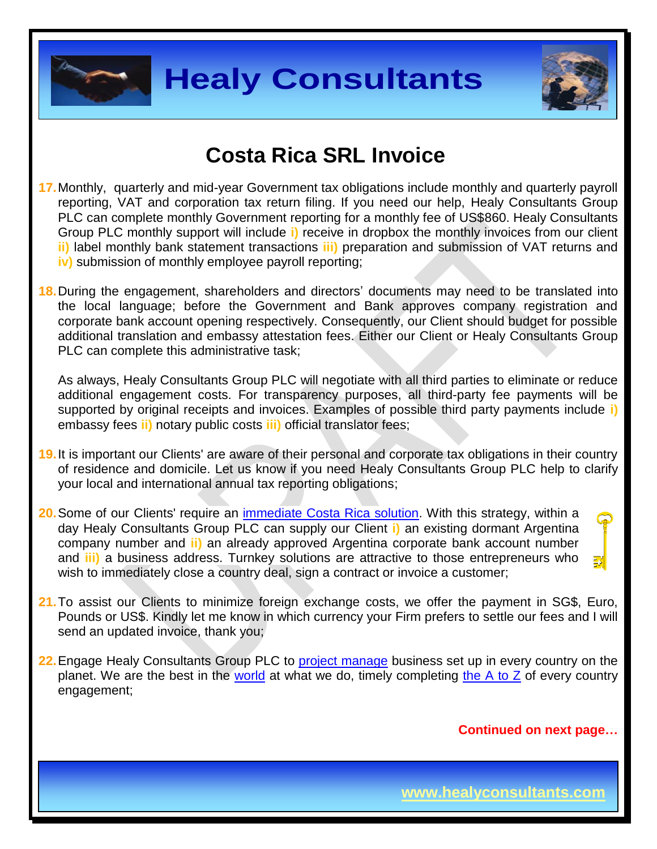



### **Costa Rica SRL Invoice**

- **17.**Monthly, quarterly and mid-year Government tax obligations include monthly and quarterly payroll reporting, VAT and corporation tax return filing. If you need our help, Healy Consultants Group PLC can complete monthly Government reporting for a monthly fee of US\$860. Healy Consultants Group PLC monthly support will include **i)** receive in dropbox the monthly invoices from our client **ii)** label monthly bank statement transactions **iii)** preparation and submission of VAT returns and **iv)** submission of monthly employee payroll reporting;
- **18.**During the engagement, shareholders and directors' documents may need to be translated into the local language; before the Government and Bank approves company registration and corporate bank account opening respectively. Consequently, our Client should budget for possible additional translation and embassy attestation fees. Either our Client or Healy Consultants Group PLC can complete this administrative task;

As always, Healy Consultants Group PLC will negotiate with all third parties to eliminate or reduce additional engagement costs. For transparency purposes, all third-party fee payments will be supported by original receipts and invoices. Examples of possible third party payments include **i)** embassy fees **ii)** notary public costs **iii)** official translator fees;

- **19.**It is important our Clients' are aware of their personal and corporate tax obligations in their country of residence and domicile. Let us know if you need Healy Consultants Group PLC help to clarify your local and international annual tax reporting obligations;
- **20.**Some of our Clients' require an [immediate Costa Rica solution.](http://www.healyconsultants.com/turnkey-solutions/) With this strategy, within a day Healy Consultants Group PLC can supply our Client **i)** an existing dormant Argentina company number and **ii)** an already approved Argentina corporate bank account number and **iii)** a business address. Turnkey solutions are attractive to those entrepreneurs who wish to immediately close a country deal, sign a contract or invoice a customer;



- **21.**To assist our Clients to minimize foreign exchange costs, we offer the payment in SG\$, Euro, Pounds or US\$. Kindly let me know in which currency your Firm prefers to settle our fees and I will send an updated invoice, thank you;
- **22.**Engage Healy Consultants Group PLC to [project manage](http://www.healyconsultants.com/project-manage-engagements/) business set up in every country on the planet. We are the best in the [world](http://www.healyconsultants.com/best-in-the-world/) at what we do, timely completing [the A to Z](http://www.healyconsultants.com/a-to-z-of-business-set-up/) of every country engagement;

**Continued on next page…**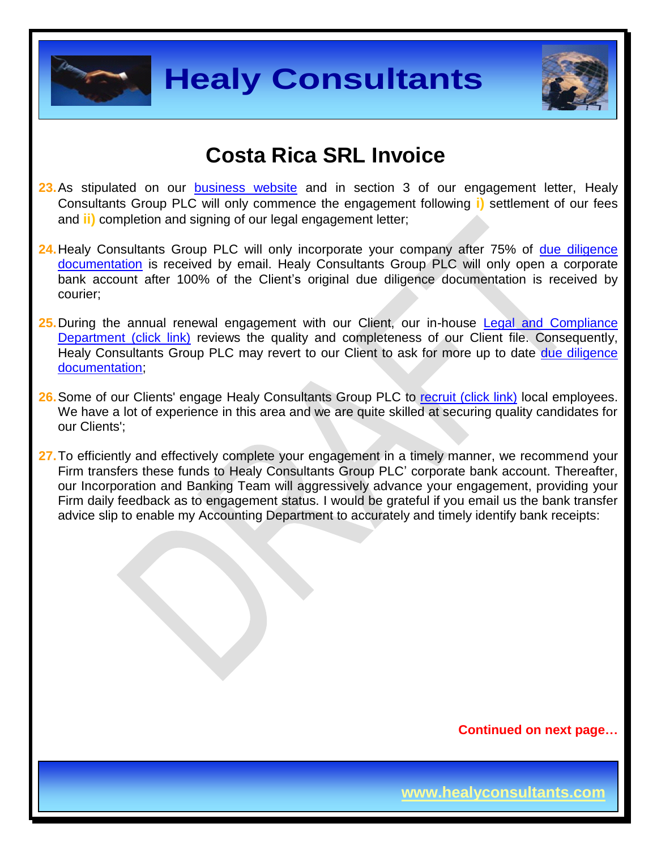



### **Costa Rica SRL Invoice**

- 23. As stipulated on our [business website](http://www.healyconsultants.com/) and in section 3 of our engagement letter, Healy Consultants Group PLC will only commence the engagement following **i)** settlement of our fees and **ii)** completion and signing of our legal engagement letter;
- 24. Healy Consultants Group PLC will only incorporate your company after 75% of due diligence [documentation](http://www.healyconsultants.com/due-diligence/) is received by email. Healy Consultants Group PLC will only open a corporate bank account after 100% of the Client's original due diligence documentation is received by courier;
- 25. During the annual renewal engagement with our Client, our in-house Legal and Compliance [Department \(click link\)](http://www.healyconsultants.com/about-us/key-personnel/cai-xin-profile/) reviews the quality and completeness of our Client file. Consequently, Healy Consultants Group PLC may revert to our Client to ask for more up to date [due diligence](http://www.healyconsultants.com/due-diligence/)  [documentation;](http://www.healyconsultants.com/due-diligence/)
- 26. Some of our Clients' engage Healy Consultants Group PLC to [recruit \(click link\)](http://www.healyconsultants.com/corporate-outsourcing-services/how-we-help-our-clients-recruit-quality-employees/) local employees. We have a lot of experience in this area and we are quite skilled at securing quality candidates for our Clients';
- 27. To efficiently and effectively complete your engagement in a timely manner, we recommend your Firm transfers these funds to Healy Consultants Group PLC' corporate bank account. Thereafter, our Incorporation and Banking Team will aggressively advance your engagement, providing your Firm daily feedback as to engagement status. I would be grateful if you email us the bank transfer advice slip to enable my Accounting Department to accurately and timely identify bank receipts:

**Continued on next page…**